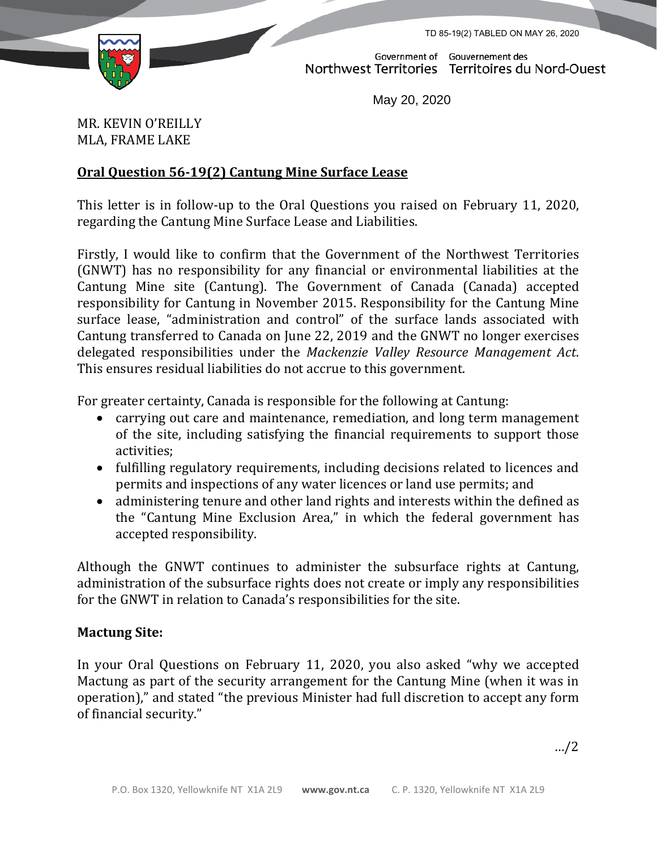TD 85-19(2) TABLED ON MAY 26, 2020



Government of Gouvernement des Northwest Territories Territoires du Nord-Ouest

May 20, 2020

MR. KEVIN O'REILLY MLA, FRAME LAKE

## **Oral Question 56-19(2) Cantung Mine Surface Lease**

This letter is in follow-up to the Oral Questions you raised on February 11, 2020, regarding the Cantung Mine Surface Lease and Liabilities.

Firstly, I would like to confirm that the Government of the Northwest Territories (GNWT) has no responsibility for any financial or environmental liabilities at the Cantung Mine site (Cantung). The Government of Canada (Canada) accepted responsibility for Cantung in November 2015. Responsibility for the Cantung Mine surface lease, "administration and control" of the surface lands associated with Cantung transferred to Canada on June 22, 2019 and the GNWT no longer exercises delegated responsibilities under the *Mackenzie Valley Resource Management Act*. This ensures residual liabilities do not accrue to this government.

For greater certainty, Canada is responsible for the following at Cantung:

- carrying out care and maintenance, remediation, and long term management of the site, including satisfying the financial requirements to support those activities;
- fulfilling regulatory requirements, including decisions related to licences and permits and inspections of any water licences or land use permits; and
- administering tenure and other land rights and interests within the defined as the "Cantung Mine Exclusion Area," in which the federal government has accepted responsibility.

Although the GNWT continues to administer the subsurface rights at Cantung, administration of the subsurface rights does not create or imply any responsibilities for the GNWT in relation to Canada's responsibilities for the site.

## **Mactung Site:**

In your Oral Questions on February 11, 2020, you also asked "why we accepted Mactung as part of the security arrangement for the Cantung Mine (when it was in operation)," and stated "the previous Minister had full discretion to accept any form of financial security."

…/2